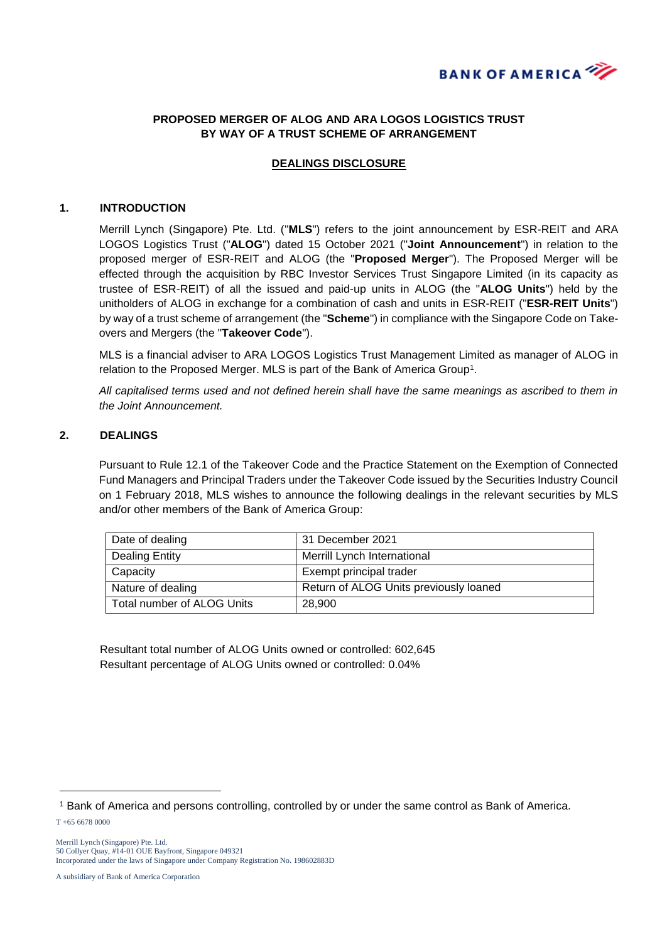

## **PROPOSED MERGER OF ALOG AND ARA LOGOS LOGISTICS TRUST BY WAY OF A TRUST SCHEME OF ARRANGEMENT**

## **DEALINGS DISCLOSURE**

#### **1. INTRODUCTION**

Merrill Lynch (Singapore) Pte. Ltd. ("**MLS**") refers to the joint announcement by ESR-REIT and ARA LOGOS Logistics Trust ("**ALOG**") dated 15 October 2021 ("**Joint Announcement**") in relation to the proposed merger of ESR-REIT and ALOG (the "**Proposed Merger**"). The Proposed Merger will be effected through the acquisition by RBC Investor Services Trust Singapore Limited (in its capacity as trustee of ESR-REIT) of all the issued and paid-up units in ALOG (the "**ALOG Units**") held by the unitholders of ALOG in exchange for a combination of cash and units in ESR-REIT ("**ESR-REIT Units**") by way of a trust scheme of arrangement (the "**Scheme**") in compliance with the Singapore Code on Takeovers and Mergers (the "**Takeover Code**").

MLS is a financial adviser to ARA LOGOS Logistics Trust Management Limited as manager of ALOG in relation to the Proposed Merger. MLS is part of the Bank of America Group<sup>1</sup>.

*All capitalised terms used and not defined herein shall have the same meanings as ascribed to them in the Joint Announcement.*

### **2. DEALINGS**

Pursuant to Rule 12.1 of the Takeover Code and the Practice Statement on the Exemption of Connected Fund Managers and Principal Traders under the Takeover Code issued by the Securities Industry Council on 1 February 2018, MLS wishes to announce the following dealings in the relevant securities by MLS and/or other members of the Bank of America Group:

| Date of dealing            | 31 December 2021                       |
|----------------------------|----------------------------------------|
| Dealing Entity             | Merrill Lynch International            |
| Capacity                   | Exempt principal trader                |
| Nature of dealing          | Return of ALOG Units previously loaned |
| Total number of ALOG Units | 28.900                                 |

Resultant total number of ALOG Units owned or controlled: 602,645 Resultant percentage of ALOG Units owned or controlled: 0.04%

-

<sup>1</sup> Bank of America and persons controlling, controlled by or under the same control as Bank of America.

T +65 6678 0000